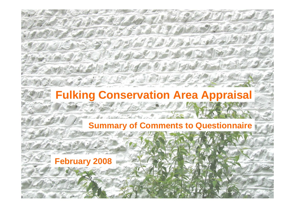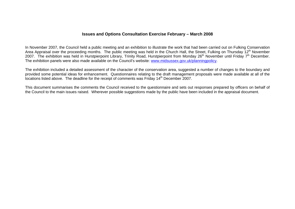### **Issues and Options Consultation Exercise February – March 2008**

In November 2007, the Council held a public meeting and an exhibition to illustrate the work that had been carried out on Fulking Conservation Area Appraisal over the proceeding months. The public meeting was held in the Church Hall, the Street, Fulking on Thursday 12<sup>th</sup> November 2007. The exhibition was held in Hurstpierpoint Library, Trinity Road, Hurstpierpoint from Monday 26<sup>th</sup> November until Friday 7<sup>th</sup> December. The exhibition panels were also made available on the Council's website: www.midsussex.gov.uk/planningpolicy.

The exhibition included a detailed assessment of the character of the conservation area, suggested a number of changes to the boundary and provided some potential ideas for enhancement. Questionnaires relating to the draft management proposals were made available at all of the locations listed above. The deadline for the receipt of comments was Friday 14<sup>th</sup> December 2007.

This document summarises the comments the Council received to the questionnaire and sets out responses prepared by officers on behalf of the Council to the main issues raised. Wherever possible suggestions made by the public have been included in the appraisal document.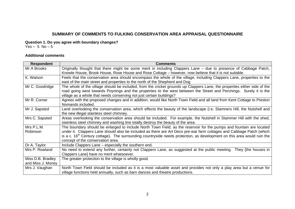### **SUMMARY OF COMMENTS TO FULKING CONSERVATION AREA APPRAISAL QUESTIONNAIRE**

**Question 1. Do you agree with boundary changes?** 

Yes – 5 No – 5

#### **Additional comments**

| <b>Respondent</b> | <b>Comments</b>                                                                                                           |
|-------------------|---------------------------------------------------------------------------------------------------------------------------|
| Mr A Brooks       | Originally thought that there might be some merit in including Clappers Lane – due to presence of Cabbage Patch,          |
|                   | Knowle House, Brook House, Rose House and Rose Cottage – however, now believe that it is not suitable.                    |
| K. Watson         | Feels that the conservation area should encompass the whole of the village, including Clappers Lane, properties to the    |
|                   | east of the main street and properties to the north of the Shepherd and Dog                                               |
| Mr C. Goodridge   | The whole of the village should be included, from the cricket grounds up Clappers Lane, the properties either side of the |
|                   | road going west towards Poynings and the properties to the west between the Street and Perchings. Surely it is the        |
|                   | village as a whole that needs conserving not just certain buildings?                                                      |
| Mr R. Corner      | Agrees with the proposed changes and in addition, would like North Town Field and all land from Kent Cottage to Preston   |
|                   | Nomands included.                                                                                                         |
| Mr J. Sapsted     | Land overlooking the conservation area, which effects the beauty of the landscape (i.e. Stamners Hill, the Nutshell and   |
|                   | the new illegal stainless steel chimney.                                                                                  |
| Mrs C. Sapsted    | Areas overlooking the conservation area should be included. For example, the Nutshell in Stammer Hill with the shed,      |
|                   | stainless steel chimney and washing line totally destroy the beauty of the area.                                          |
| Mrs P.L.M.        | The boundary should be enlarged to include North Town Field, as the reservoir for the pumps and fountain are located      |
| Robinson          | under it. Clappers Lane should also be included as there are Art Deco pre-war farm cottages and Cabbage Patch (which      |
|                   | is a c. $16th$ Century cottage). The surrounding countryside needs protection, as development on this area would ruin the |
|                   | concept of the conservation area.                                                                                         |
| Dr A. Taylor      | Include Clappers Lane – especially the southern end.                                                                      |
| Mrs P. Rowland    | No need to extend any further, certainly not Clappers Lane, as suggested at the public meeting. They [the houses in       |
|                   | Clappers Lane] have no merit whatsoever.                                                                                  |
| Miss D.B. Bradley | The greater protection to the village is wholly good.                                                                     |
| and Miss J. Money |                                                                                                                           |
| Mrs J. Vaughan    | North Town Field should be included as it is a most valuable asset and provides not only a play area but a venue for      |
|                   | village functions held annually, such as barn dances and theatre productions.                                             |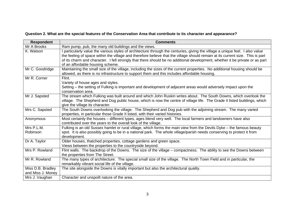# **Question 2. What are the special features of the Conservation Area that contribute to its character and appearance?**

| <b>Respondent</b>                      | <b>Comments</b>                                                                                                                                                                                                                                                                                                                                                                                                                   |
|----------------------------------------|-----------------------------------------------------------------------------------------------------------------------------------------------------------------------------------------------------------------------------------------------------------------------------------------------------------------------------------------------------------------------------------------------------------------------------------|
| Mr A Brooks                            | Ram pump, pub, the many old buildings and the views.                                                                                                                                                                                                                                                                                                                                                                              |
| K. Watson                              | particularly value the various styles of architecture through the centuries, giving the village a unique feel. I also value<br>the feeling of space within the village and therefore believe that the village should remain at its current size. This is part<br>of its charm and character. I fell strongly that there should be no additional development, whether it be private or as part<br>of an affordable housing scheme. |
| Mr C. Goodridge                        | Maintaining the small size of the village, including the sizes of the current properties. No additional housing should be<br>allowed, as there is no infrastructure to support them and this includes affordable housing.                                                                                                                                                                                                         |
| Mr R. Corner                           | Flint.<br>Variety of house ages and styles.<br>Setting – the setting of Fulking is important and development of adjacent areas would adversely impact upon the<br>conservation area.                                                                                                                                                                                                                                              |
| Mr J. Sapsted                          | The stream which Fulking was built around and which John Ruskin writes about. The South Downs, which overlook the<br>village. The Shepherd and Dog public house, which is now the centre of village life. The Grade II listed buildings, which<br>give the village its character.                                                                                                                                                 |
| Mrs C. Sapsted                         | The South Downs overlooking the village. The Shepherd and Dog pub with the adjoining stream. The many varied<br>properties, in particular those Grade II listed, with their varied histories.                                                                                                                                                                                                                                     |
| Anonymous                              | Most certainly the houses - different types, ages blend very well. The local farmers and landowners have also<br>contributed over the years to the overall look of the village.                                                                                                                                                                                                                                                   |
| Mrs P.L.M.<br>Robinson                 | Fulking is an old Sussex hamlet or rural village, which forms the main view from the Devils Dyke - the famous beauty<br>spot. It is also possibly going to be in a national park. The whole village/parish needs conserving to protect it from<br>development.                                                                                                                                                                    |
| Dr A. Taylor                           | Older houses, thatched properties, cottage gardens and green space.<br>Views between the properties to the countryside beyond.                                                                                                                                                                                                                                                                                                    |
| Mrs P. Rowland                         | Flint walls. The backdrop of the Downs. The size of the village - compactness. The ability to see the Downs between<br>the properties from The Street.                                                                                                                                                                                                                                                                            |
| Mr R. Rowland                          | The many types of architecture. The special small size of the village. The North Town Field and in particular, the<br>remarkably vibrant social life of the village.                                                                                                                                                                                                                                                              |
| Miss D.B. Bradley<br>and Miss J. Money | The site alongside the Downs is vitally important but also the architectural quality.                                                                                                                                                                                                                                                                                                                                             |
| Mrs J. Vaughan                         | Character and unspoilt nature of the area.                                                                                                                                                                                                                                                                                                                                                                                        |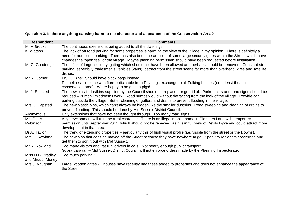# **Question 3. Is there anything causing harm to the character and appearance of the Conservation Area?**

| <b>Respondent</b>                      | <b>Comments</b>                                                                                                                                                                                                                                                                                                                                                           |
|----------------------------------------|---------------------------------------------------------------------------------------------------------------------------------------------------------------------------------------------------------------------------------------------------------------------------------------------------------------------------------------------------------------------------|
| Mr A Brooks                            | The continuous extensions being added to all the dwellings.                                                                                                                                                                                                                                                                                                               |
| K. Watson                              | The lack of off road parking for some properties is harming the view of the village in my opinion. There is definitely a<br>need for additional parking. There has also been the addition of some large security gates within the Street, which have<br>changes the 'open feel' of the village. Maybe planning permission should have been requested before installation. |
| Mr C. Goodridge                        | The influx of large 'security' gating which should not have been allowed and perhaps should be removed. Constant street<br>parking, especially tradesmen's vehicles (vans), detract from the street scene far more than overhead wires and satellite<br>dishes.                                                                                                           |
| Mr R. Corner                           | MSDC Bins! Should have black bags instead.<br>Phonelines – replace with fibre-optic cable from Poynings exchange to all Fulking houses (or at least those in<br>conservation area). We're happy to be guinea pigs!                                                                                                                                                        |
| Mr J. Sapsted                          | The new plastic dustbins supplied by the Council should be replaced or got rid of. Parked cars and road signs should be<br>reduced – 20mph limit doesn't work. Road humps would without detracting from the look of the village. Provide car<br>parking outside the village. Better cleaning of gutters and drains to prevent flooding in the village.                    |
| Mrs C. Sapsted                         | The new plastic bins, which can't always be hidden like the smaller dustbins. Road sweeping and cleaning of drains to<br>prevent flooding. This should be done by Mid Sussex District Council.                                                                                                                                                                            |
| Anonymous                              | Ugly extensions that have not been thought through. Too many road signs.                                                                                                                                                                                                                                                                                                  |
| Mrs P.L.M.<br>Robinson                 | Any development will ruin the rural character. There is an illegal mobile home in Clappers Lane with temporary<br>permission until September 2011, which should not be renewed, as it is in full view of Devils Dyke and could attract more<br>development in that area.                                                                                                  |
| Dr A. Taylor                           | The trend of extending properties – particularly this of high visual profile (i.e. visible from the street or the Downs).                                                                                                                                                                                                                                                 |
| Mrs P. Rowland                         | The new bins that can't be moved off the Street because they have nowhere to go. Speak to residents concerned and<br>get them to sort it out with Mid Sussex.                                                                                                                                                                                                             |
| Mr R. Rowland                          | Too many visitors and 'rat run' drivers in cars. Not nearly enough public transport.<br>Gypsy caravan – Mid Sussex District Council will not enforce orders made by the Planning Inspectorate.                                                                                                                                                                            |
| Miss D.B. Bradley<br>and Miss J. Money | Too much parking!!                                                                                                                                                                                                                                                                                                                                                        |
| Mrs J. Vaughan                         | Large wooden gates - 2 houses have recently had these added to properties and does not enhance the appearance of<br>the Street.                                                                                                                                                                                                                                           |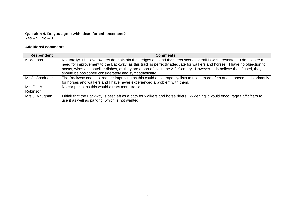#### **Question 4. Do you agree with Ideas for enhancement?**  Yes – 9 No – 3

#### **Additional comments**

| Respondent      | <b>Comments</b>                                                                                                                         |
|-----------------|-----------------------------------------------------------------------------------------------------------------------------------------|
| K. Watson       | Not totally! I believe owners do maintain the hedges etc. and the street scene overall is well presented. I do not see a                |
|                 | need for improvement to the Backway, as this track is perfectly adequate for walkers and horses. I have no objection to                 |
|                 | masts, wires and satellite dishes, as they are a part of life in the 21 <sup>st</sup> Century. However, I do believe that if used, they |
|                 | should be positioned considerately and sympathetically.                                                                                 |
| Mr C. Goodridge | The Backway does not require improving as this could encourage cyclists to use it more often and at speed. It is primarily              |
|                 | for horses and walkers and I have never experienced a problem with them.                                                                |
| Mrs P.L.M.      | No car parks, as this would attract more traffic.                                                                                       |
| Robinson        |                                                                                                                                         |
| Mrs J. Vaughan  | I think that the Backway is best left as a path for walkers and horse riders. Widening it would encourage traffic/cars to               |
|                 | use it as well as parking, which is not wanted.                                                                                         |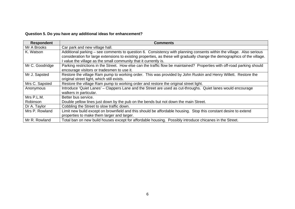# **Question 5. Do you have any additional ideas for enhancement?**

| <b>Respondent</b> | <b>Comments</b>                                                                                                                                                                                                                                    |
|-------------------|----------------------------------------------------------------------------------------------------------------------------------------------------------------------------------------------------------------------------------------------------|
| Mr A Brooks       | Car park and new village hall.                                                                                                                                                                                                                     |
| K. Watson         | Additional parking – see comments to question 6. Consistency with planning consents within the village. Also serious<br>consideration for large extensions to existing properties, as these will gradually change the demographics of the village. |
|                   | value the village as the small community that it currently is.                                                                                                                                                                                     |
| Mr C. Goodridge   | Parking restrictions in the Street. How else can the traffic flow be maintained? Properties with off-road parking should                                                                                                                           |
|                   | encourage visitors or tradesmen to use it.                                                                                                                                                                                                         |
| Mr J. Sapsted     | Restore the village Ram pump to working order. This was provided by John Ruskin and Henry Willett. Restore the                                                                                                                                     |
|                   | original street light, which still exists.                                                                                                                                                                                                         |
| Mrs C. Sapsted    | Restore the village Ram pump to working order and restore the original street light.                                                                                                                                                               |
| Anonymous         | Introduce 'Quiet Lanes' – Clappers Lane and the Street are used as cut-throughs. Quiet lanes would encourage                                                                                                                                       |
|                   | walkers in particular.                                                                                                                                                                                                                             |
| Mrs P.L.M.        | Better bus service.                                                                                                                                                                                                                                |
| Robinson          | Double yellow lines just down by the pub on the bends but not down the main Street.                                                                                                                                                                |
| Dr A. Taylor      | Cobbling the Street to slow traffic down.                                                                                                                                                                                                          |
| Mrs P. Rowland    | Limit new build except on brownfield and this should be affordable housing. Stop this constant desire to extend                                                                                                                                    |
|                   | properties to make them larger and larger.                                                                                                                                                                                                         |
| Mr R. Rowland     | Total ban on new build houses except for affordable housing. Possibly introduce chicanes in the Street.                                                                                                                                            |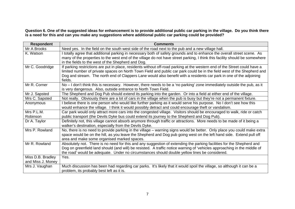**Question 6. One of the suggested ideas for enhancement is to provide additional public car parking in the village. Do you think there is a need for this and can you make any suggestions where additional public car parking could be provided?** 

| <b>Respondent</b>                      | <b>Comments</b>                                                                                                                                                                                                                                                                                                                                                                         |
|----------------------------------------|-----------------------------------------------------------------------------------------------------------------------------------------------------------------------------------------------------------------------------------------------------------------------------------------------------------------------------------------------------------------------------------------|
| Mr A Brooks                            | Need yes. In the field on the south west side of the road next to the pub and a new village hall.                                                                                                                                                                                                                                                                                       |
| K. Watson                              | I totally agree that additional parking in necessary both of safety grounds and to enhance the overall street scene. As<br>many of the properties to the west end of the village do not have street parking, I think this facility should be somewhere<br>in the fields to the west of the Shepherd and Dog.                                                                            |
| Mr C. Goodridge                        | If parking restrictions are put in place, residents without off-road parking at the western end of the Street could have a<br>limited number of private spaces on North Town Field and public car park could be in the field west of the Shepherd and<br>Dog and stream. The north end of Clappers Lane would also benefit with a residents car park in one of the adjoining<br>fields. |
| Mr R. Corner                           | No - I don't think this is necessary. However, there needs to be a 'no parking' zone immediately outside the pub, as it<br>is very dangerous. Also, outside entrance to North Town Field.                                                                                                                                                                                               |
| Mr J. Sapsted                          | The Shepherd and Dog Pub should extend its parking into the garden. Or into a field at either end of the village.                                                                                                                                                                                                                                                                       |
| Mrs C. Sapsted                         | Not really. Obviously there are a lot of cars in the village when the pub is busy but they're not a permanent fixture.                                                                                                                                                                                                                                                                  |
| Anonymous                              | I believe there is one person who would like further parking as it would serve his purpose. No I don't see how this<br>would enhance the village. I think it would possibly detract and could encourage theft or vandalism.                                                                                                                                                             |
| Mrs P.L.M.                             | Car park would only attract more cars into the congested village. Visitors should be encouraged to walk, ride or catch                                                                                                                                                                                                                                                                  |
| Robinson                               | public transport (the Devils Dyke bus could extend its journey to the Shepherd and Dog Pub).                                                                                                                                                                                                                                                                                            |
| Dr A. Taylor                           | Definitely not, this village cannot absorb anymore through traffic or attractions. More needs to be made of it being a<br>walker's destination, especially from the Devils Dyke.                                                                                                                                                                                                        |
| Mrs P. Rowland                         | No, there is no need to provide parking in the village - warning signs would be better. Only place you could make extra<br>space would be on the hill, as you leave the Shepherd and Dog pub going west on the left hand side. Extend pull off<br>area and make some organised marked spaces.                                                                                           |
| Mr R. Rowland                          | Absolutely not. There is no need for this and any suggestion of extending the parking facilities for the Shepherd and<br>Dog on greenfield land should (and will) be resisted. A traffic notice warning of 'vehicles approaching in the middle of<br>the road' would be adequate. Under no circumstances should double yellow lines be considered.                                      |
| Miss D.B. Bradley<br>and Miss J. Money | Yes.                                                                                                                                                                                                                                                                                                                                                                                    |
| Mrs J. Vaughan                         | Much discussion has been had regarding car parks. It's likely that it would spoil the village, so although it can be a<br>problem, its probably best left as it is.                                                                                                                                                                                                                     |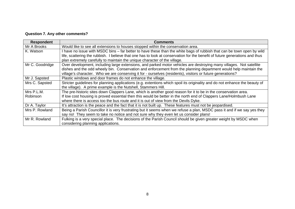# **Question 7. Any other comments?**

| <b>Respondent</b> | <b>Comments</b>                                                                                                             |
|-------------------|-----------------------------------------------------------------------------------------------------------------------------|
| Mr A Brooks       | Would like to see all extensions to houses stopped within the conservation area.                                            |
| K. Watson         | I have no issue with MSDC bins – far better to have these than the white bags of rubbish that can be town open by wild      |
|                   | life, scattering the rubbish. I believe that one has to look at conservation for the benefit of future generations and thus |
|                   | plan extremely carefully to maintain the unique character of the village.                                                   |
| Mr C. Goodridge   | Over development, including large extensions, and parked motor vehicles are destroying many villages. Not satellite         |
|                   | dishes and the odd wheely bin. Conservation and enforcement from the planning department would help maintain the            |
|                   | village's character. Who we are conserving it for - ourselves (residents), visitors or future generations?                  |
| Mr J. Sapsted     | Plastic windows and door frames do not enhance the village.                                                                 |
| Mrs C. Sapsted    | Stricter guidelines for planning applications (e.g. extentions which spoil its originality and do not enhance the beauty of |
|                   | the village). A prime example is the Nutshell, Stammers Hill.                                                               |
| Mrs P.L.M.        | The pre-historic sites down Clappers Lane, which is another good reason for it to be in the conservation area.              |
| Robinson          | If low cost housing is proved essential then this would be better in the north end of Clappers Lane/Holmbush Lane           |
|                   | where there is access too the bus route and it is out of view from the Devils Dyke.                                         |
| Dr A. Taylor      | It's attraction is the peace and the fact that it is not built up. These features must not be jeopardised.                  |
| Mrs P. Rowland    | Being a Parish Councillor it is very frustrating but it seems when we refuse a plan, MSDC pass it and if we say yes they    |
|                   | say no! They seem to take no notice and not sure why they even let us consider plans!                                       |
| Mr R. Rowland     | Fulking is a very special place. The decisions of the Parish Council should be given greater weight by MSDC when            |
|                   | considering planning applications.                                                                                          |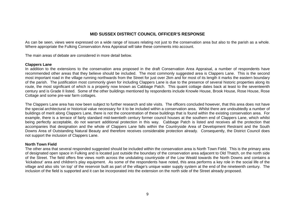### **MID SUSSEX DISTRICT COUNCIL OFFICER'S RESPONSE**

As can be seen, views were expressed on a wide range of issues relating not just to the conservation area but also to the parish as a whole. Where appropriate the Fulking Conservation Area Appraisal will take these comments into account.

The main areas of debate are considered in more detail below.

#### **Clappers Lane**

In addition to the extensions to the conservation area proposed in the draft Conservation Area Appraisal, a number of respondents have recommended other areas that they believe should be included. The most commonly suggested area is Clappers Lane. This is the second most important road in the village running northwards from the Street for just over 2km and for most of its length it marks the eastern boundary of the parish. The justification most commonly given for including Clappers Lane is due to the presence of several historic properties along its route, the most significant of which is a property now known as Cabbage Patch. This quaint cottage dates back at least to the seventeenth century and is Grade II listed. Some of the other buildings mentioned by respondents include Knowle House, Brook House, Rose House, Rose Cottage and some pre-war farm cottages.

The Clappers Lane area has now been subject to further research and site visits. The officers concluded however, that this area does not have the special architectural or historical value necessary for it to be included within a conservation area. Whilst there are undoubtedly a number of buildings of merit along Clappers Lane, there is not the concentration of these buildings that is found within the existing conservation area. For example, there is a terrace of fairly standard mid-twentieth century former council houses at the southern end of Clappers Lane, which whilst being perfectly acceptable, do not warrant additional protection in this way. Cabbage Patch is listed and receives all the protection that accompanies that designation and the whole of Clappers Lane falls within the Countryside Area of Development Restraint and the South Downs Area of Outstanding Natural Beauty and therefore receives considerable protection already. Consequently, the District Council does not support the inclusion of Clappers Lane.

#### **North Town Field**

The other area that several responded suggested should be included within the conservation area is North Town Field. This is the primary area of designated open space in Fulking and is located just outside the boundary of the conservation area adjacent to Old Thatch, on the north side of the Street. The field offers fine views north across the undulating countryside of the Low Weald towards the North Downs and contains a 'kickabout' area and children's play equipment. As some of the respondents have noted, this area performs a key role in the social life of the village and also sits 'on top' of the reservoir built as part of the village's unique water supply system at the end of the nineteenth century. The inclusion of the field is supported and it can be incorporated into the extension on the north side of the Street already proposed.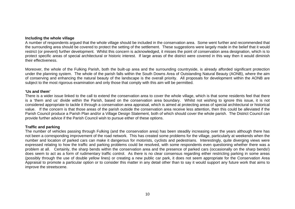#### **Including the whole village**

A number of respondents argued that the whole village should be included in the conservation area. Some went further and recommended that the surrounding area should be covered to protect the setting of the settlement. These suggestions were largely made in the belief that it would restrict (or prevent) further development. Whilst this concern is acknowledged, it misses the point of conservation area designation, which is to protect specific areas of special architectural or historic interest. If large areas of the district were covered in this way then it would diminish their effectiveness.

Moreover, the whole of the Fulking Parish, both the built-up area and the surrounding countryside, is already afforded significant protection under the planning system. The whole of the parish falls within the South Downs Area of Outstanding Natural Beauty (AONB), where the aim of conserving and enhancing the natural beauty of the landscape is the overall priority. All proposals for development within the AONB are subject to the most rigorous examination and only those that comply with this aim will be permitted.

#### **'Us and them'**

There is a wider issue linked to the call to extend the conservation area to cover the whole village, which is that some residents feel that there is a 'them and us' divide within the Parish, based on the conservation area boundary. Whilst not wishing to ignore this issue, it is not considered appropriate to tackle it through a conservation area appraisal, which is aimed at protecting areas of special architectural or historical value. If the concern is that those areas of the parish outside the conservation area receive less attention, then this could be alleviated if the Parish Council produce a Parish Plan and/or a Village Design Statement, both of which should cover the whole parish. The District Council can provide further advice if the Parish Council wish to pursue either of these options.

#### **Traffic and parking**

The number of vehicles passing through Fulking (and the conservation area) has been steadily increasing over the years although there has not been a corresponding improvement of the road network. This has created some problems for the village, particularly at weekends when the number and location of parked cars can make it dangerous for motorists, cyclists and pedestrians. Interestingly, quite diverging views were expressed relating to how the traffic and parking problems could be resolved, with some respondents even questioning whether there was a problem at all. Certainly, the sharp bends within the conservation area and the presence of parked cars (occasionally on the sharp bends!) does seem to act as a form of rudimentary traffic control. As there is no clear consensus regarding either restricting parking in some areas (possibly through the use of double yellow lines) or creating a new public car park, it does not seem appropriate for the Conservation Area Appraisal to promote a particular option or to consider this matter in any detail other than to say it would support any future work that aims to improve the streetscene.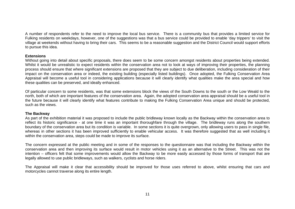A number of respondents refer to the need to improve the local bus service. There is a community bus that provides a limited service for Fulking residents on weekdays, however, one of the suggestions was that a bus service could be provided to enable 'day trippers' to visit the village at weekends without having to bring their cars. This seems to be a reasonable suggestion and the District Council would support efforts to pursue this idea.

#### **Extensions**

Without going into detail about specific proposals, there does seem to be some concern amongst residents about properties being extended. Whilst it would be unrealistic to expect residents within the conservation area not to look at ways of improving their properties, the planning process should ensure that where significant extensions are proposed that they are subject to due deliberation, including consideration of their impact on the conservation area or indeed, the existing building (especially listed buildings). Once adopted, the Fulking Conservation Area Appraisal will become a useful tool in considering applications because it will clearly identify what qualities make the area special and how these qualities can be preserved, and ideally enhanced.

Of particular concern to some residents, was that some extensions block the views of the South Downs to the south or the Low Weald to the north, both of which are important features of the conservation area. Again, the adopted conservation area appraisal should be a useful tool in the future because it will clearly identify what features contribute to making the Fulking Conservation Area unique and should be protected, such as the views.

#### **The Backway**

As part of the exhibition material it was proposed to include the public bridleway known locally as the Backway within the conservation area to reflect its historic significance - at one time it was an important thoroughfare through the village. The bridleway runs along the southern boundary of the conservation area but its condition is variable. In some sections it is quite overgrown, only allowing users to pass in single file, whereas in other sections it has been improved sufficiently to enable vehicular access. It was therefore suggested that as well including it within the conservation area, steps could be made to improve its surface.

The concern expressed at the public meeting and in some of the responses to the questionnaire was that including the Backway within the conservation area and then improving its surface would result in motor vehicles using it as an alternative to the Street. This was not the intention – officers felt that some improvements would allow the Backway to be more easily accessed by those forms of transport that are legally allowed to use public bridleways, such as walkers, cyclists and horse riders.

The Appraisal will make it clear that accessibility should be improved for those uses referred to above, whilst ensuring that cars and motorcycles cannot traverse along its entire length.